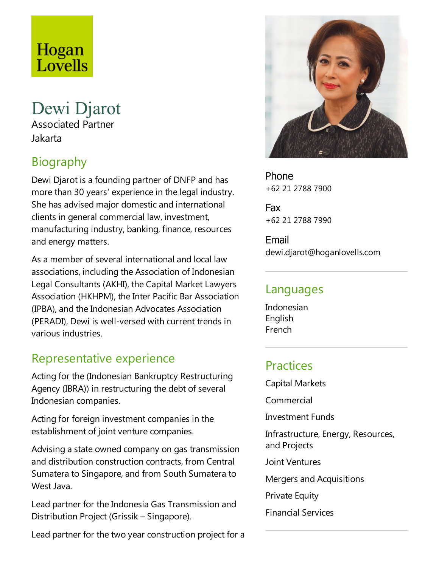# Hogan Lovells

## Dewi Djarot

Associated Partner Jakarta

## Biography

Dewi Djarot is afounding partner of DNFP and has more than 30 years' experience in the legal industry. She has advised major domesticand international clients in general commercial law, investment, manufacturing industry, banking, finance, resources and energy matters.

As a member of several international and local law associations, including the Association of Indonesian Legal Consultants (AKHI), the Capital Market Lawyers Association (HKHPM), the Inter Pacific Bar Association (IPBA), and the Indonesian Advocates Association (PERADI), Dewi is well-versed with current trends in various industries.

### Representative experience

Acting for the (Indonesian Bankruptcy Restructuring Agency (IBRA)) in restructuring the debt of several Indonesian companies.

Acting for foreign investment companies in the establishment of joint venture companies.

Advising a state owned company on gas transmission and distribution construction contracts, from Central Sumatera to Singapore, and from South Sumatera to West Java.

Lead partner for the Indonesia Gas Transmission and Distribution Project (Grissik – Singapore).

Lead partner for the two year construction project for a



Phone +62 21 2788 7900

Fax +62 21 2788 7990

Email dewi.djarot@hoganlovells.com

#### Languages

Indonesian English French

#### **Practices**

Capital Markets

**Commercial** 

Investment Funds

Infrastructure, Energy, Resources, and Projects

Joint Ventures

Mergers and Acquisitions

**Private Equity** 

Financial Services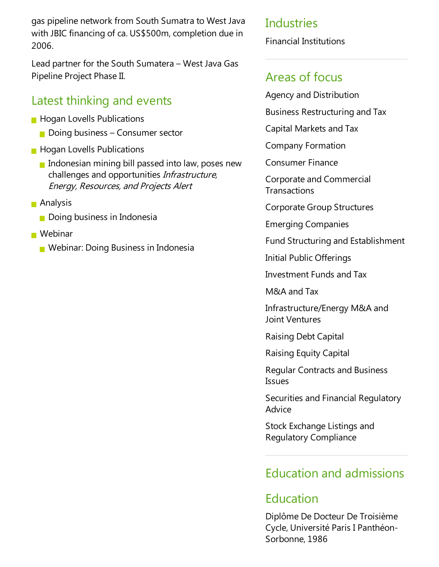gas pipeline network from South Sumatrato West Java with JBIC financing of ca. US\$500m, completion due in 2006.

Lead partner for the South Sumatera– West Java Gas Pipeline Project Phase II.

### Latest thinking and events

- **Hogan Lovells Publications** 
	- $\Box$  Doing business Consumer sector
- **Hogan Lovells Publications** 
	- Indonesian mining bill passed into law, poses new challenges and opportunities *Infrastructure*, Energy, Resources,and Projects Alert
- **Analysis** 
	- **Doing business in Indonesia**
- Webinar
	- **Nebinar: Doing Business in Indonesia**

#### Industries

Financial Institutions

### Areas of focus

Agency and Distribution

Business Restructuring and Tax

Capital Markets and Tax

Company Formation

Consumer Finance

Corporate and Commercial **Transactions** 

Corporate Group Structures

Emerging Companies

Fund Structuring and Establishment

Initial Public Offerings

Investment Funds and Tax

M&A and Tax

Infrastructure/Energy M&A and Joint Ventures

Raising Debt Capital

Raising Equity Capital

Regular Contracts and Business Issues

Securities and Financial Regulatory Advice

Stock Exchange Listings and Regulatory Compliance

### Education and admissions

### Education

Diplôme De Docteur De Troisième Cycle, Université Paris I Panthéon-Sorbonne, 1986